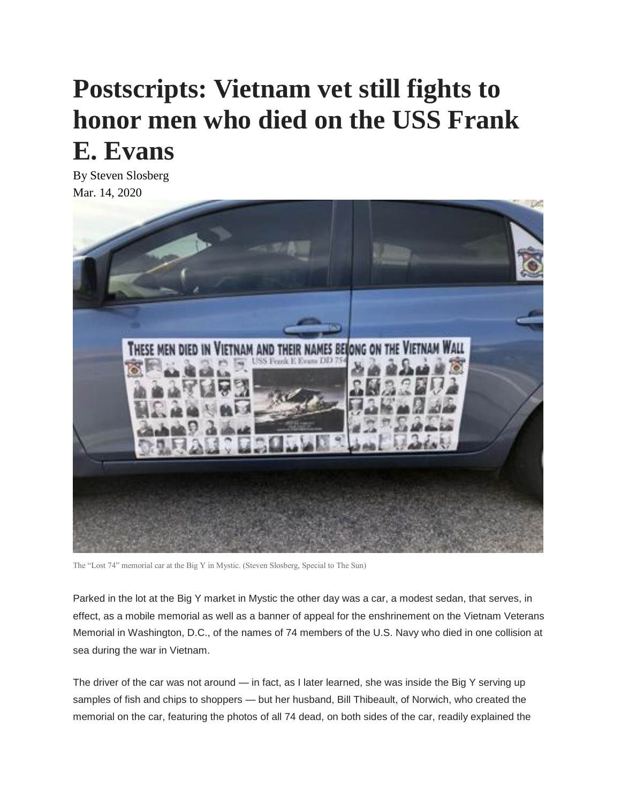## **Postscripts: Vietnam vet still fights to honor men who died on the USS Frank E. Evans**

By Steven Slosberg Mar. 14, 2020



The "Lost 74" memorial car at the Big Y in Mystic. (Steven Slosberg, Special to The Sun)

Parked in the lot at the Big Y market in Mystic the other day was a car, a modest sedan, that serves, in effect, as a mobile memorial as well as a banner of appeal for the enshrinement on the Vietnam Veterans Memorial in Washington, D.C., of the names of 74 members of the U.S. Navy who died in one collision at sea during the war in Vietnam.

The driver of the car was not around — in fact, as I later learned, she was inside the Big Y serving up samples of fish and chips to shoppers — but her husband, Bill Thibeault, of Norwich, who created the memorial on the car, featuring the photos of all 74 dead, on both sides of the car, readily explained the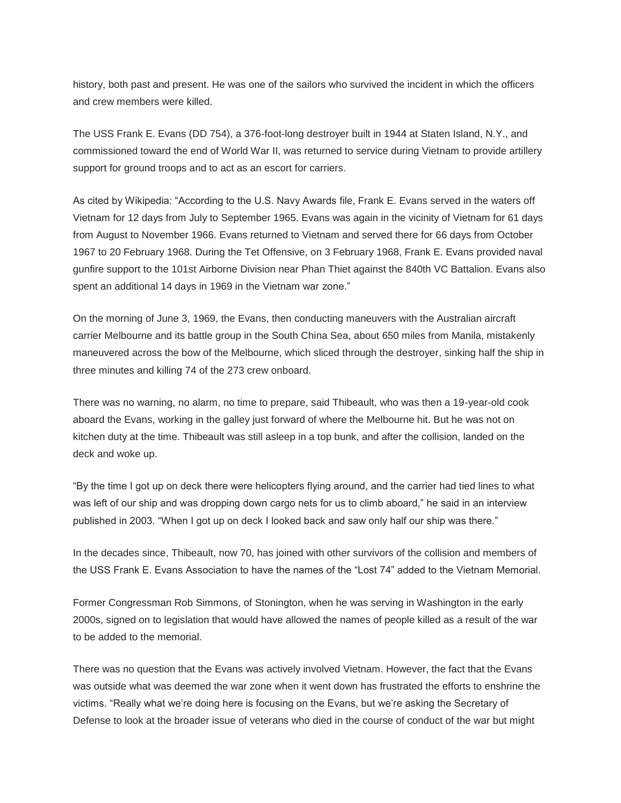history, both past and present. He was one of the sailors who survived the incident in which the officers and crew members were killed.

The USS Frank E. Evans (DD 754), a 376-foot-long destroyer built in 1944 at Staten Island, N.Y., and commissioned toward the end of World War II, was returned to service during Vietnam to provide artillery support for ground troops and to act as an escort for carriers.

As cited by Wikipedia: "According to the U.S. Navy Awards file, Frank E. Evans served in the waters off Vietnam for 12 days from July to September 1965. Evans was again in the vicinity of Vietnam for 61 days from August to November 1966. Evans returned to Vietnam and served there for 66 days from October 1967 to 20 February 1968. During the Tet Offensive, on 3 February 1968, Frank E. Evans provided naval gunfire support to the 101st Airborne Division near Phan Thiet against the 840th VC Battalion. Evans also spent an additional 14 days in 1969 in the Vietnam war zone."

On the morning of June 3, 1969, the Evans, then conducting maneuvers with the Australian aircraft carrier Melbourne and its battle group in the South China Sea, about 650 miles from Manila, mistakenly maneuvered across the bow of the Melbourne, which sliced through the destroyer, sinking half the ship in three minutes and killing 74 of the 273 crew onboard.

There was no warning, no alarm, no time to prepare, said Thibeault, who was then a 19-year-old cook aboard the Evans, working in the galley just forward of where the Melbourne hit. But he was not on kitchen duty at the time. Thibeault was still asleep in a top bunk, and after the collision, landed on the deck and woke up.

"By the time I got up on deck there were helicopters flying around, and the carrier had tied lines to what was left of our ship and was dropping down cargo nets for us to climb aboard," he said in an interview published in 2003. "When I got up on deck I looked back and saw only half our ship was there."

In the decades since, Thibeault, now 70, has joined with other survivors of the collision and members of the USS Frank E. Evans Association to have the names of the "Lost 74" added to the Vietnam Memorial.

Former Congressman Rob Simmons, of Stonington, when he was serving in Washington in the early 2000s, signed on to legislation that would have allowed the names of people killed as a result of the war to be added to the memorial.

There was no question that the Evans was actively involved Vietnam. However, the fact that the Evans was outside what was deemed the war zone when it went down has frustrated the efforts to enshrine the victims. "Really what we're doing here is focusing on the Evans, but we're asking the Secretary of Defense to look at the broader issue of veterans who died in the course of conduct of the war but might